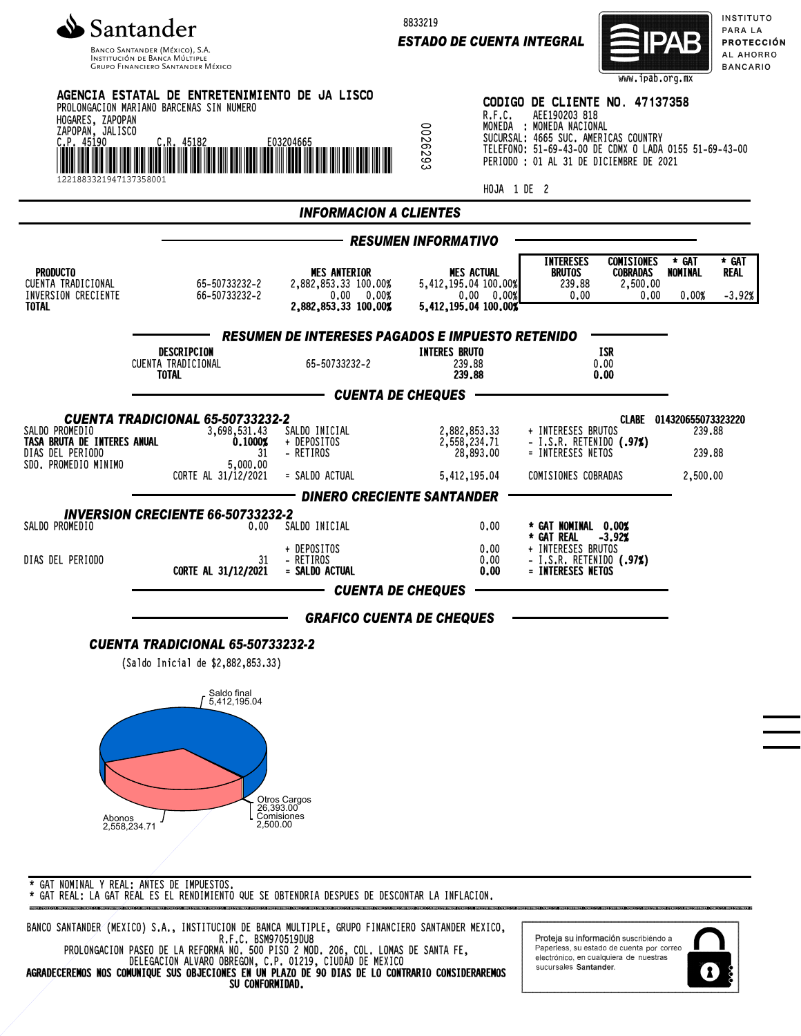

Banco Santander (México), S.A.<br>Institución de Banca Múltiple<br>Grupo Financiero Santander México

8833219

*ESTADO DE CUENTA INTEGRAL*



INSTITUTO PARA LA **PROTECCIÓN** AL AHORRO **BANCARIO** 

| HOGARES, ZAPOPAN<br>ZAPOPAN, JALISCO<br>C.P. 45190<br>1221883321947137358001              | AGENCIA ESTATAL DE ENTRETENIMIENTO DE JA LISCO<br>PROLONGACION MARIANO BARCENAS SIN NUMERO<br><b>G .R. 45182</b><br>II IIII IIII IIII III | E03204665                                                                         | 0026293                    | R.F.C.<br>HOJA 1 DE 2                                                           | CODIGO DE CLIENTE NO. 47137358<br>AEE190203 818<br>MONEDA : MONEDA NACIONAL<br>SUCURSAL: 4665 SUC. AMERICAS COUNTRY<br>TELEFONO: 51-69-43-00 DE CDMX O LADA 0155 51-69-43-00<br>PERIODO : 01 AL 31 DE DICIEMBRE DE 2021 | www.ipab.org.mx                                          |                                                          |                           |
|-------------------------------------------------------------------------------------------|-------------------------------------------------------------------------------------------------------------------------------------------|-----------------------------------------------------------------------------------|----------------------------|---------------------------------------------------------------------------------|-------------------------------------------------------------------------------------------------------------------------------------------------------------------------------------------------------------------------|----------------------------------------------------------|----------------------------------------------------------|---------------------------|
| <b>INFORMACION A CLIENTES</b>                                                             |                                                                                                                                           |                                                                                   |                            |                                                                                 |                                                                                                                                                                                                                         |                                                          |                                                          |                           |
|                                                                                           |                                                                                                                                           |                                                                                   | <b>RESUMEN INFORMATIVO</b> |                                                                                 |                                                                                                                                                                                                                         |                                                          |                                                          |                           |
| <b>PRODUCTO</b><br>CUENTA TRADICIONAL<br>INVERSION CRECIENTE<br><b>TOTAL</b>              | 65-50733232-2<br>66-50733232-2                                                                                                            | <b>MES ANTERIOR</b><br>2,882,853,33 100,00%<br>0.00 0.00%<br>2,882,853.33 100.00% |                            | <b>MES ACTUAL</b><br>5,412,195.04 100.00%<br>0.00 0.00%<br>5,412,195.04 100.00% | <b>INTERESES</b><br><b>BRUTOS</b><br>239.88<br>0.00                                                                                                                                                                     | <b>COMISIONES</b><br><b>COBRADAS</b><br>2,500.00<br>0.00 | * GAT<br>NOMINAL<br>0.00%                                | * GAT<br>REAL<br>$-3.92%$ |
|                                                                                           |                                                                                                                                           | <b>RESUMEN DE INTERESES PAGADOS E IMPUESTO RETENIDO</b>                           |                            |                                                                                 |                                                                                                                                                                                                                         |                                                          |                                                          |                           |
|                                                                                           | DESCRIPCION<br>CUENTA TRADICIONAL<br>TOTAL                                                                                                | 65-50733232-2                                                                     |                            | <b>INTERES BRUTO</b><br>239.88<br>239.88                                        |                                                                                                                                                                                                                         | ISR<br>0.00<br>0.00                                      |                                                          |                           |
|                                                                                           |                                                                                                                                           | <b>CUENTA DE CHEQUES</b>                                                          |                            |                                                                                 |                                                                                                                                                                                                                         |                                                          |                                                          |                           |
| SALDO PROMEDIO<br>TASA BRUTA DE INTERES ANUAL<br>DIAS DEL PERIODO<br>SDO. PROMEDIO MINIMO | <b>CUENTA TRADICIONAL 65-50733232-2</b><br>3,698,531.43<br>0.1000%<br>31<br>5,000.00<br>CORTE AL 31/12/2021                               | SALDO INICIAL<br>+ DEPOSITOS<br>- RETIROS<br>= SALDO ACTUAL                       |                            | 2,882,853.33<br>2,558,234.71<br>28,893.00<br>5,412,195.04                       | + INTERESES BRUTOS<br>- I.S.R. RETENIDO (.97%)<br>= INTERESES NETOS<br>COMISIONES COBRADAS                                                                                                                              |                                                          | CLABE 014320655073323220<br>239.88<br>239.88<br>2,500,00 |                           |
|                                                                                           |                                                                                                                                           | <b>DINERO CRECIENTE SANTANDER</b>                                                 |                            |                                                                                 |                                                                                                                                                                                                                         |                                                          |                                                          |                           |
| SALDO PROMEDIO                                                                            | <b>INVERSION CRECIENTE 66-50733232-2</b><br>0.00                                                                                          | SALDO INICIAL                                                                     |                            | 0.00                                                                            | * GAT NOMINAL 0.00%                                                                                                                                                                                                     |                                                          |                                                          |                           |
| DIAS DEL PERIODO                                                                          | 31<br>CORTE AL 31/12/2021                                                                                                                 | + DEPOSITOS<br>- RETIROS<br>= SALDO ACTUAL                                        |                            | 0.00<br>0.00<br>0.00                                                            | * GAT REAL<br>+ INTERESES BRUTOS<br>- I.S.R. RETENIDO (.97%)<br>= INTERESES NETOS                                                                                                                                       | $-3.92%$                                                 |                                                          |                           |
|                                                                                           |                                                                                                                                           | <b>CUENTA DE CHEQUES</b>                                                          |                            |                                                                                 |                                                                                                                                                                                                                         |                                                          |                                                          |                           |
|                                                                                           |                                                                                                                                           | <b>GRAFICO CUENTA DE CHEQUES</b>                                                  |                            |                                                                                 |                                                                                                                                                                                                                         |                                                          |                                                          |                           |
|                                                                                           | <b>CUENTA TRADICIONAL 65-50733232-2</b><br>(Saldo Inicial de \$2,882,853.33)                                                              |                                                                                   |                            |                                                                                 |                                                                                                                                                                                                                         |                                                          |                                                          |                           |
|                                                                                           | Saldo final<br>5,412,195.04                                                                                                               |                                                                                   |                            |                                                                                 |                                                                                                                                                                                                                         |                                                          |                                                          |                           |
| Abonos<br>2,558,234.71                                                                    | 2,500.00                                                                                                                                  | Otros Cargos<br>26,393.00<br>Comisiones                                           |                            |                                                                                 |                                                                                                                                                                                                                         |                                                          |                                                          |                           |
|                                                                                           | * GAT NOMINAL Y REAL: ANTES DE IMPUESTOS.                                                                                                 |                                                                                   |                            |                                                                                 |                                                                                                                                                                                                                         |                                                          |                                                          |                           |

\* GAT REAL: LA GAT REAL ES EL RENDIMIENTO QUE SE OBTENDRIA DESPUES DE DESCONTAR LA INFLACION.

BANCO SANTANDER (MEXICO) S.A., INSTITUCION DE BANCA MULTIPLE, GRUPO FINANCIERO SANTANDER MEXICO, R.F.C. BSM970519DU8 PROLONGACION PASEO DE LA REFORMA NO. 500 PISO 2 MOD. 206, COL. LOMAS DE SANTA FE, DELEGACION ALVARO OBREGON, C.P. 01219, CIUDAD DE MEXICO AGRADECEREMOS NOS COMUNIQUE SUS OBJECIONES EN UN PLAZO DE 90 DIAS DE LO CONTRARIO CONSIDERAREMOS SU CONFORMIDAD.

Proteja su información suscribiendo a Paperless, su estado de cuenta por correo<br>electrónico, en cualquiera de nuestras sucursales Santander.

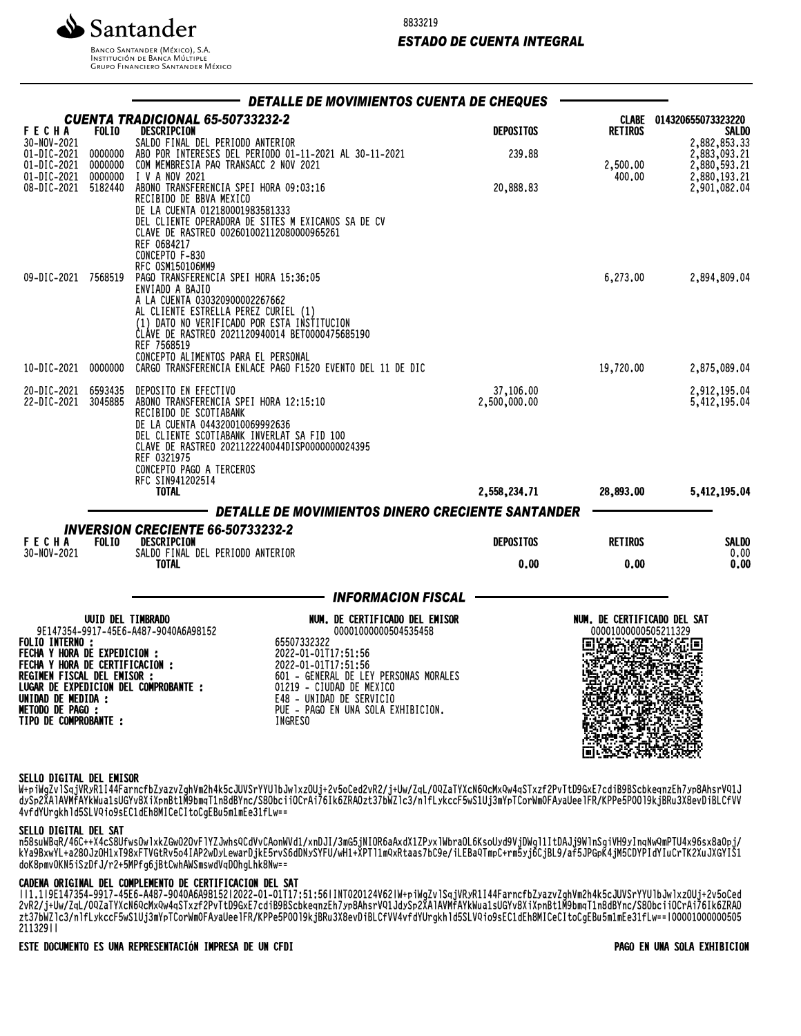

**BANCO SANTANDER (MÉXICO), S.A.** INSTITUCIÓN DE BANCA MÚLTIPLE **GRUPO FINANCIERO SANTANDER MÉXICO** 

### *ESTADO DE CUENTA INTEGRAL*

|                                                                                  |                   | DETALLE DE MOVIMIENTOS CUENTA DE CHEQUES                                                                                                                                                                                                                                                                                                                                                                                                                                                                                                    |                           |                                                     |                                                              |
|----------------------------------------------------------------------------------|-------------------|---------------------------------------------------------------------------------------------------------------------------------------------------------------------------------------------------------------------------------------------------------------------------------------------------------------------------------------------------------------------------------------------------------------------------------------------------------------------------------------------------------------------------------------------|---------------------------|-----------------------------------------------------|--------------------------------------------------------------|
| <b>FECHA</b>                                                                     | <b>FOLIO</b>      | CUENTA TRADICIONAL 65-50733232-2<br>DESCRIPCION                                                                                                                                                                                                                                                                                                                                                                                                                                                                                             | <b>DEPOSITOS</b>          | <b>RETIROS</b>                                      | CLABE 014320655073323220<br><b>SALDO</b>                     |
| 30-NOV-2021<br>01-DIC-2021 0000000<br>01-DIC-2021 0000000<br>01-DIC-2021 0000000 |                   |                                                                                                                                                                                                                                                                                                                                                                                                                                                                                                                                             | 239,88                    | 2,500.00<br>400.00                                  | 2,882,853.33<br>2,883,093.21<br>2,880,593.21<br>2,880,193.21 |
| 08-DIC-2021 5182440                                                              |                   | <b>SALDO FINAL DEL PERIODO ANTERIOR<br/>SALDO FINAL DEL PERIODO ANTERIOR<br/>COM MEMBRESIA PAQ TRANSACC 2 NOV 2021<br/>COM MEMBRESIA PAQ TRANSACC 2 NOV 2021<br/>I V A NOV 2021<br/>ABONO TRANSFERENCIA SPEI HORA 09:03:16<br/>RECIBIDO DE BBVA MEXICO<br/>D</b><br>CLAVE DE RASTREO 002601002112080000965261<br>REF 0684217<br>CONCEPTO F-830<br>RFC 0SM150106MM9                                                                                                                                                                          | 20,888.83                 |                                                     | 2,901,082.04                                                 |
| 09-DIC-2021 7568519                                                              |                   | PAGO TRANSFERENCIA SPEI HORA 15:36:05<br>ENVIADO A BAJIO<br>A LA CUENTA 030320900002267662<br>AL CLIENTE ESTRELLA PEREZ CURIEL (1)<br>(1) DATO NO VERIFICADO POR ESTA INSTITUCION<br>CLAVE DE RASTREO 2021120940014 BET0000475685190<br>REF 7568519<br>CONCEPTO ALIMENTOS PARA EL PERSONAL                                                                                                                                                                                                                                                  |                           | 6,273.00                                            | 2,894,809.04                                                 |
| 10-DIC-2021 0000000                                                              |                   | CARGO TRANSFERENCIA ENLACE PAGO F1520 EVENTO DEL 11 DE DIC                                                                                                                                                                                                                                                                                                                                                                                                                                                                                  |                           | 19,720.00                                           | 2,875,089.04                                                 |
| 20-DIC-2021 6593435<br>22-DIC-2021 3045885                                       |                   | DEPOSITO EN EFECTIVO<br>ABONO TRANSFERENCIA SPEI HORA 12:15:10<br>RECIBIDO DE SCOTIABANK<br>DE LA CUENTA 044320010069992636<br>DEL CLIENTE SCOTIABANK INVERLAT SA FID 100<br>CLAVE DE RASTREO 2021122240044DISP0000000024395<br>REF 0321975<br>CONCEPTO PAGO A TERCEROS<br>RFC SIN941202514                                                                                                                                                                                                                                                 | 37,106.00<br>2,500,000.00 |                                                     | 2,912,195.04<br>5,412,195.04                                 |
|                                                                                  |                   | <b>TOTAL</b>                                                                                                                                                                                                                                                                                                                                                                                                                                                                                                                                | 2,558,234.71              | 28,893.00                                           | 5,412,195.04                                                 |
|                                                                                  |                   | – DETALLE DE MOVIMIENTOS DINERO CRECIENTE SANTANDER<br><b>INVERSION CRECIENTE 66-50733232-2</b>                                                                                                                                                                                                                                                                                                                                                                                                                                             |                           |                                                     |                                                              |
| <b>FECHA</b><br>30-NOV-2021                                                      | FOL <sub>10</sub> | DESCRIPCION<br>SALDO FINAL DEL PERIODO ANTERIOR                                                                                                                                                                                                                                                                                                                                                                                                                                                                                             | <b>DEPOSITOS</b>          | <b>RETIROS</b>                                      | <b>SALDO</b><br>0.00                                         |
|                                                                                  |                   | <b>TOTAL</b>                                                                                                                                                                                                                                                                                                                                                                                                                                                                                                                                | 0.00                      | 0.00                                                | 0.00                                                         |
|                                                                                  |                   | <b>______ INFORMACION FISCAL</b>                                                                                                                                                                                                                                                                                                                                                                                                                                                                                                            |                           |                                                     |                                                              |
| <b>FOLIO INTERNO:</b><br><b>METODO DE PAGO :<br/>TIPO DE COMPROBANTE :</b>       | UUID DEL TIMBRADO | NUM. DE CERTIFICADO DEL EMISOR<br>9E147354-9917-45E6-A487-9040A6A98152<br>00001000000504535458<br>65507332322<br><b>FULLO INTERNO :<br/>FECHA Y HORA DE EXPEDICION :<br/>FECHA Y HORA DE CERTIFICACION :<br/>REGIMEN FISCAL DEL EMISOR :<br/>LUGAR DE EXPEDICION DEL COMPROBANTE :<br/>UNIDAD DE MEDIDA :<br/>UNIDAD DE MEDIDA :</b><br>2022-01-01T17:51:56<br>2022-01-01T17:51:56<br>601 - GENERAL DE LEY PERSONAS MORALES<br>01219 - CIUDAD DE MEXICO<br>E48 - UNIDAD DE SERVICIO<br>PUE - PAGO EN UNA SOLA EXHIBICION.<br><b>INGRESO</b> |                           | NUM. DE CERTIFICADO DEL SAT<br>00001000000505211329 | Iш                                                           |

#### SELLO DIGITAL DEL EMISOR

W+piWgZvlSqjVRyR1I44FarncfbZyazvZghVm2h4k5cJUVSrYYUlbJwlxzOUj+2v5oCed2vR2/j+Uw/ZqL/0QZaTYXcN6QcMxQw4qSTxzf2PvTtD9GxE7cdiB9BScbkeqnzEh7yp8AhsrVQ1J dySp2XAlAVMfAYkWua1sUGYv8XiXpnBt1M9bmqT1n8dBYnc/S8ObciiOCrAi76Ik6ZRAOzt37bWZlc3/nlfLykccF5wS1Uj3mYpTCorWm0FAyaUeelFR/KPPe5P0Ol9kjBRu3X8evDiBLCfVV 4vfdYUrgkhld5SLVQio9sEC1dEh8MICeCItoCgEBu5m1mEe31fLw==

# SELLO DIGITAL DEL SAT

n30suWDqN/40C++Y4C3ONIWSOWIYKZGWUCUVFIIZJWNSQCUVVCAONWVUI/XNDJI/3MG3jNIUNOdAXUYITLAXIMDLGNCPV2OOAQAA]nMQITTChYO]3MINJQINUA3INqUWAMHLIOAX9O2XOQUDj/ KYd9BXWYL+dZ8VJZUNIXT98XFTVGtRV3O4IAPZWDYLeWaFDjKE5FVS6dDNYSYFU/WH1+XPTTIMQXRtaas/DC9e/iLEBaQTMpC+FM3yjOCjBL9/af3JPGpR4jM3CDYPIdYIUCFTKZAUJAGYIS1 doK8pmv0KN5iSzDfJ/r2+5MPfg6jBtCwhAWSmswdVqDOhgLhk8Nw==

#### CADENA ORIGINAL DEL COMPLEMENTO DE CERTIFICACION DEL SAT

||1.1|9E147354-9917-45E6-A487-9040A6A98152|2022-01-01T17:51:56|INT020124V62|W+piWgZvlSqjVRyR1I44FarncfbZyazvZghVm2h4k5cJUVSrYYUlbJwlxzOUj+2v5oCed 2vR2/j+Uw/ZqL/0QZaTYXcN6QcMxQw4qSTxzf2PvTtD9GxE7cdiB9BScbkeqnzEh7yp8AhsrVQ1JdySp2XAlAVMfAYkWua1sUGYv8XiXpnBt1M9bmqT1n8dBYnc/S8ObciiOCrAi76Ik6ZRAO zt37bWZlc3/nlfLykccF5wS1Uj3mYpTCorWm0FAyaUeelFR/KPPe5P0Ol9kjBRu3X8evDiBLCfVV4vfdYUrgkhld5SLVQio9sEC1dEh8MICeCItoCgEBu5m1mEe31fLw==|00001000000505 211329||

ESTE DOCUMENTO ES UNA REPRESENTACIÓN IMPRESA DE UN CFDI PAGO EN UNA SOLA EXHIBICION